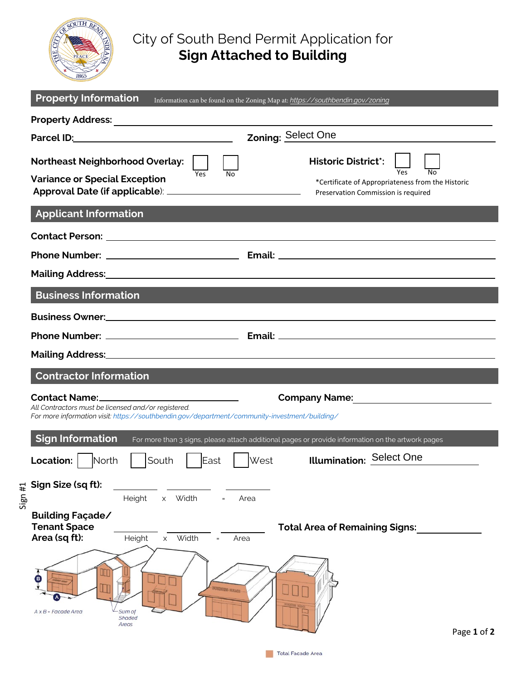

## City of South Bend Permit Application for **Sign Attached to Building**

| <b>Property Information</b>                                                                                                                          | Information can be found on the Zoning Map at: https://southbendin.gov/zoning                                                                                                                                                  |
|------------------------------------------------------------------------------------------------------------------------------------------------------|--------------------------------------------------------------------------------------------------------------------------------------------------------------------------------------------------------------------------------|
|                                                                                                                                                      |                                                                                                                                                                                                                                |
| Parcel ID: Parcel ID:                                                                                                                                | Zoning: Select One                                                                                                                                                                                                             |
| <b>Northeast Neighborhood Overlay:</b><br><b>Variance or Special Exception</b>                                                                       | <b>Historic District</b> <sup>*</sup> : $\begin{bmatrix} 1 \\ 1 \end{bmatrix}$ $\begin{bmatrix} 1 \\ 1 \end{bmatrix}$<br>Yes<br>No<br>*Certificate of Appropriateness from the Historic<br>Preservation Commission is required |
| <b>Applicant Information</b>                                                                                                                         |                                                                                                                                                                                                                                |
|                                                                                                                                                      | Mailing Address: National Address: National Address: National Address: National Address: National Address: National Address: National Address: National Address: National Address: National Address: National Address: Nationa |
| <b>Business Information</b>                                                                                                                          | <b>Service Service</b>                                                                                                                                                                                                         |
|                                                                                                                                                      |                                                                                                                                                                                                                                |
|                                                                                                                                                      |                                                                                                                                                                                                                                |
|                                                                                                                                                      | Mailing Address: Mailing Address: Mailing Address: Mailing Address: Mailing Address: Mailing Address: Mailing A                                                                                                                |
| <b>Contractor Information</b>                                                                                                                        |                                                                                                                                                                                                                                |
| All Contractors must be licensed and/or registered.<br>For more information visit: https://southbendin.gov/department/community-investment/building/ |                                                                                                                                                                                                                                |
| <b>Sign Information</b>                                                                                                                              | For more than 3 signs, please attach additional pages or provide information on the artwork pages                                                                                                                              |
| South<br>Location:  <br><b>North</b>                                                                                                                 | Illumination: Select One<br>West<br>East                                                                                                                                                                                       |
| Sign Size (sq ft):<br>Sign#1<br>Height<br>Width<br>X                                                                                                 | Area                                                                                                                                                                                                                           |
| Building Façade/<br><b>Tenant Space</b><br>Area (sq ft):<br>Width<br>Height<br>X                                                                     | <b>Total Area of Remaining Signs:</b><br>Area                                                                                                                                                                                  |
| $A \times B$ - Facade Area<br>Sum of<br>Shaded<br>Areas                                                                                              | Page 1 of 2                                                                                                                                                                                                                    |